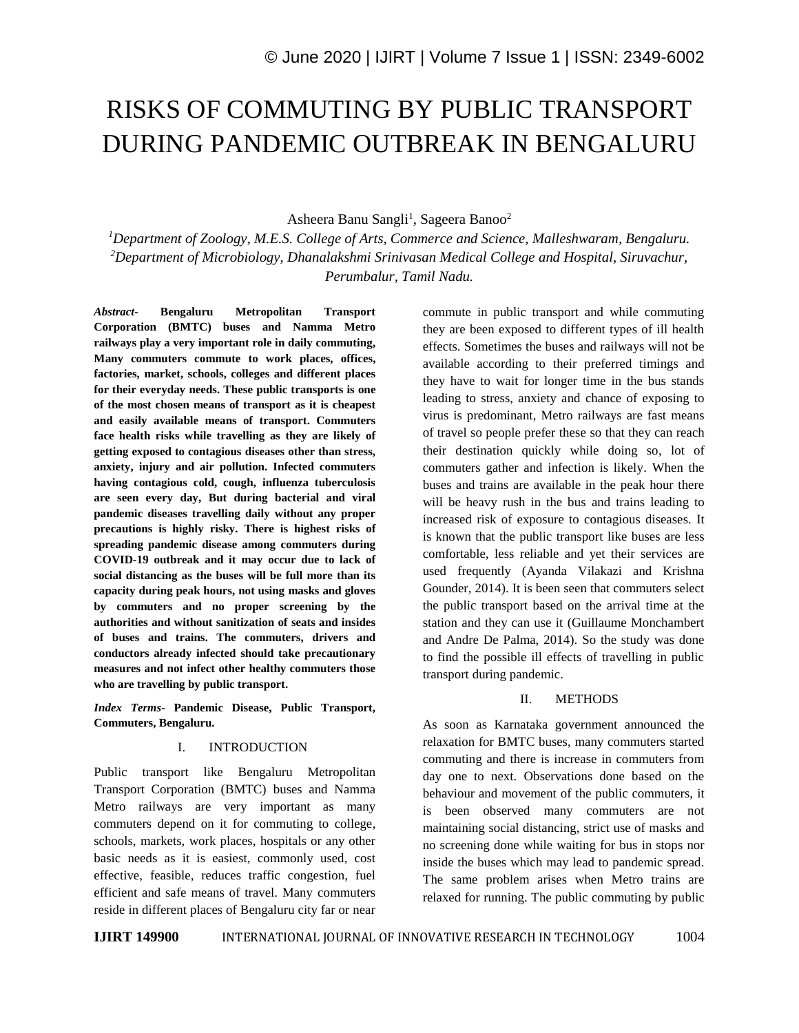# RISKS OF COMMUTING BY PUBLIC TRANSPORT DURING PANDEMIC OUTBREAK IN BENGALURU

Asheera Banu Sangli<sup>1</sup>, Sageera Banoo<sup>2</sup>

*<sup>1</sup>Department of Zoology, M.E.S. College of Arts, Commerce and Science, Malleshwaram, Bengaluru. <sup>2</sup>Department of Microbiology, Dhanalakshmi Srinivasan Medical College and Hospital, Siruvachur, Perumbalur, Tamil Nadu.*

*Abstract-* **Bengaluru Metropolitan Transport Corporation (BMTC) buses and Namma Metro railways play a very important role in daily commuting, Many commuters commute to work places, offices, factories, market, schools, colleges and different places for their everyday needs. These public transports is one of the most chosen means of transport as it is cheapest and easily available means of transport. Commuters face health risks while travelling as they are likely of getting exposed to contagious diseases other than stress, anxiety, injury and air pollution. Infected commuters having contagious cold, cough, influenza tuberculosis are seen every day, But during bacterial and viral pandemic diseases travelling daily without any proper precautions is highly risky. There is highest risks of spreading pandemic disease among commuters during COVID-19 outbreak and it may occur due to lack of social distancing as the buses will be full more than its capacity during peak hours, not using masks and gloves by commuters and no proper screening by the authorities and without sanitization of seats and insides of buses and trains. The commuters, drivers and conductors already infected should take precautionary measures and not infect other healthy commuters those who are travelling by public transport.**

*Index Terms-* **Pandemic Disease, Public Transport, Commuters, Bengaluru.**

### I. INTRODUCTION

Public transport like Bengaluru Metropolitan Transport Corporation (BMTC) buses and Namma Metro railways are very important as many commuters depend on it for commuting to college, schools, markets, work places, hospitals or any other basic needs as it is easiest, commonly used, cost effective, feasible, reduces traffic congestion, fuel efficient and safe means of travel. Many commuters reside in different places of Bengaluru city far or near commute in public transport and while commuting they are been exposed to different types of ill health effects. Sometimes the buses and railways will not be available according to their preferred timings and they have to wait for longer time in the bus stands leading to stress, anxiety and chance of exposing to virus is predominant, Metro railways are fast means of travel so people prefer these so that they can reach their destination quickly while doing so, lot of commuters gather and infection is likely. When the buses and trains are available in the peak hour there will be heavy rush in the bus and trains leading to increased risk of exposure to contagious diseases. It is known that the public transport like buses are less comfortable, less reliable and yet their services are used frequently (Ayanda Vilakazi and Krishna Gounder, 2014). It is been seen that commuters select the public transport based on the arrival time at the station and they can use it (Guillaume Monchambert and Andre De Palma, 2014). So the study was done to find the possible ill effects of travelling in public transport during pandemic.

### II. METHODS

As soon as Karnataka government announced the relaxation for BMTC buses, many commuters started commuting and there is increase in commuters from day one to next. Observations done based on the behaviour and movement of the public commuters, it is been observed many commuters are not maintaining social distancing, strict use of masks and no screening done while waiting for bus in stops nor inside the buses which may lead to pandemic spread. The same problem arises when Metro trains are relaxed for running. The public commuting by public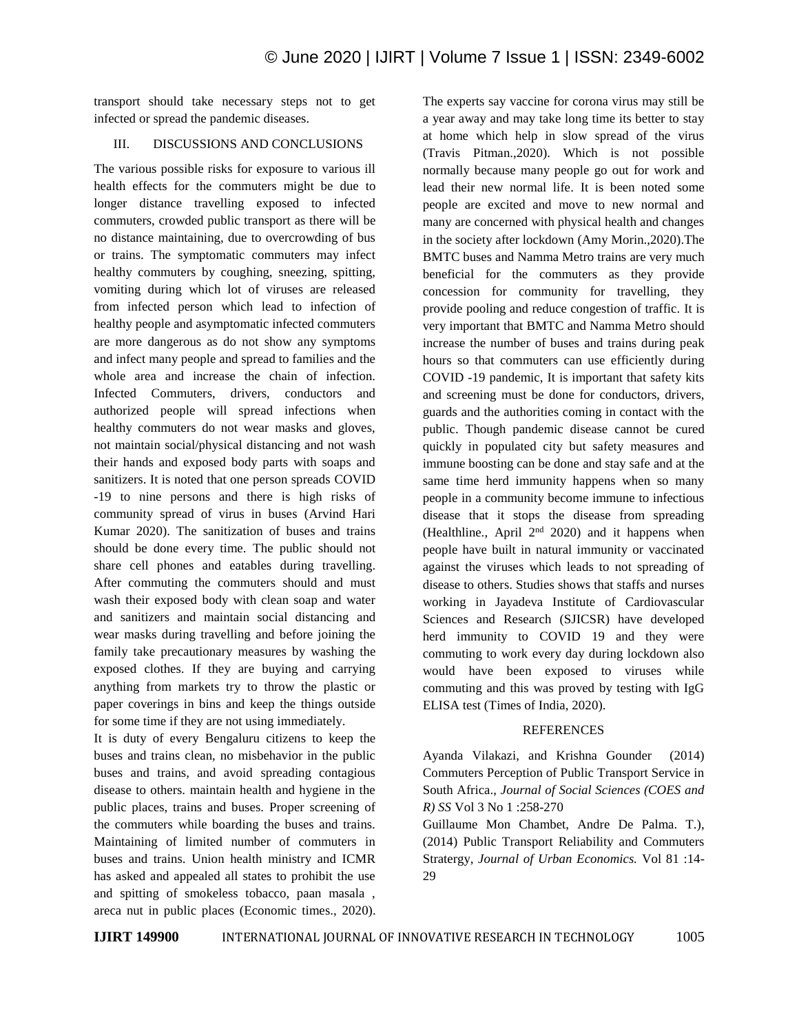transport should take necessary steps not to get infected or spread the pandemic diseases.

## III. DISCUSSIONS AND CONCLUSIONS

The various possible risks for exposure to various ill health effects for the commuters might be due to longer distance travelling exposed to infected commuters, crowded public transport as there will be no distance maintaining, due to overcrowding of bus or trains. The symptomatic commuters may infect healthy commuters by coughing, sneezing, spitting, vomiting during which lot of viruses are released from infected person which lead to infection of healthy people and asymptomatic infected commuters are more dangerous as do not show any symptoms and infect many people and spread to families and the whole area and increase the chain of infection. Infected Commuters, drivers, conductors and authorized people will spread infections when healthy commuters do not wear masks and gloves, not maintain social/physical distancing and not wash their hands and exposed body parts with soaps and sanitizers. It is noted that one person spreads COVID -19 to nine persons and there is high risks of community spread of virus in buses (Arvind Hari Kumar 2020). The sanitization of buses and trains should be done every time. The public should not share cell phones and eatables during travelling. After commuting the commuters should and must wash their exposed body with clean soap and water and sanitizers and maintain social distancing and wear masks during travelling and before joining the family take precautionary measures by washing the exposed clothes. If they are buying and carrying anything from markets try to throw the plastic or paper coverings in bins and keep the things outside for some time if they are not using immediately.

It is duty of every Bengaluru citizens to keep the buses and trains clean, no misbehavior in the public buses and trains, and avoid spreading contagious disease to others. maintain health and hygiene in the public places, trains and buses. Proper screening of the commuters while boarding the buses and trains. Maintaining of limited number of commuters in buses and trains. Union health ministry and ICMR has asked and appealed all states to prohibit the use and spitting of smokeless tobacco, paan masala , areca nut in public places (Economic times., 2020). The experts say vaccine for corona virus may still be a year away and may take long time its better to stay at home which help in slow spread of the virus (Travis Pitman.,2020). Which is not possible normally because many people go out for work and lead their new normal life. It is been noted some people are excited and move to new normal and many are concerned with physical health and changes in the society after lockdown (Amy Morin.,2020).The BMTC buses and Namma Metro trains are very much beneficial for the commuters as they provide concession for community for travelling, they provide pooling and reduce congestion of traffic. It is very important that BMTC and Namma Metro should increase the number of buses and trains during peak hours so that commuters can use efficiently during COVID -19 pandemic, It is important that safety kits and screening must be done for conductors, drivers, guards and the authorities coming in contact with the public. Though pandemic disease cannot be cured quickly in populated city but safety measures and immune boosting can be done and stay safe and at the same time herd immunity happens when so many people in a community become immune to infectious disease that it stops the disease from spreading (Healthline., April  $2<sup>nd</sup>$  2020) and it happens when people have built in natural immunity or vaccinated against the viruses which leads to not spreading of disease to others. Studies shows that staffs and nurses working in Jayadeva Institute of Cardiovascular Sciences and Research (SJICSR) have developed herd immunity to COVID 19 and they were commuting to work every day during lockdown also would have been exposed to viruses while commuting and this was proved by testing with IgG ELISA test (Times of India, 2020).

### **REFERENCES**

Ayanda Vilakazi, and Krishna Gounder (2014) Commuters Perception of Public Transport Service in South Africa., *Journal of Social Sciences (COES and R) SS* Vol 3 No 1 :258-270

Guillaume Mon Chambet, Andre De Palma. T.), (2014) Public Transport Reliability and Commuters Stratergy, *Journal of Urban Economics.* Vol 81 :14- 29